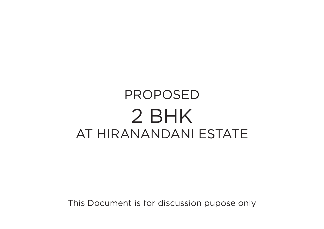## PROPOSED 2 BHK AT HIRANANDANI ESTATE

This Document is for discussion pupose only

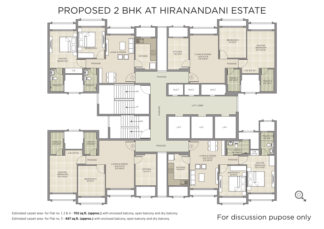

Estimated carpet area- for Flat no. 1, 2 & 4 - **702 sq.ft. (approx.)** with enclosed balcony, open balcony and dry balcony.<br>Estimated carpet area- for Flat no. 3 - 697 sq.ft. (approx.) with enclosed balcony, open balcony an Estimated carpet area- for Flat no. 3 - **697 sq.ft. (approx.)** with enclosed balcony, open balcony and dry balcony.



## PROPOSED 2 BHK AT HIRANANDANI ESTATE